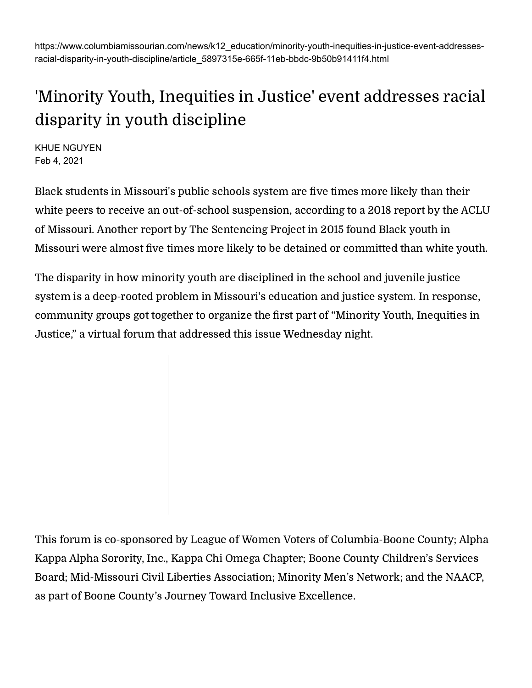https://www.columbiamissourian.com/news/k12\_education/minority-youth-inequities-in-justice-event-addressesracial-disparity-in-youth-discipline/article\_5897315e-665f-11eb-bbdc-9b50b91411f4.html

## 'Minority Youth, Inequities in Justice' event addresses racial disparity in youth discipline

KHUE NGUYEN Feb 4, 2021

Black students in Missouri's public schools system are five times more likely than their white peers to receive an [out-of-school](https://www.aclu-mo.org/sites/default/files/stpp_report_new_brand_with_update_oct_2018_as_pages_with_blanks.pdf) suspension, according to a 2018 report by the ACLU of Missouri. Another report by The [Sentencing](https://www.sentencingproject.org/publications/black-disparities-youth-incarceration/) Project in 2015 found Black youth in Missouri were almost five times more likely to be detained or committed than white youth.

The disparity in how minority youth are disciplined in the school and juvenile justice system is a deep-rooted problem in Missouri's education and justice system. In response, community groups got together to organize the first part of "Minority Youth, Inequities in Justice," a virtual forum that addressed this issue Wednesday night.

This forum is co-sponsored by League of Women Voters of Columbia-Boone County; Alpha Kappa Alpha Sorority, Inc., Kappa Chi Omega Chapter; Boone County Children's Services Board; Mid-Missouri Civil Liberties Association; Minority Men's Network; and the NAACP, as part of Boone County's Journey Toward Inclusive [Excellence.](https://www.inclusiveimpact.org/journey-toward-inclusive-excellence)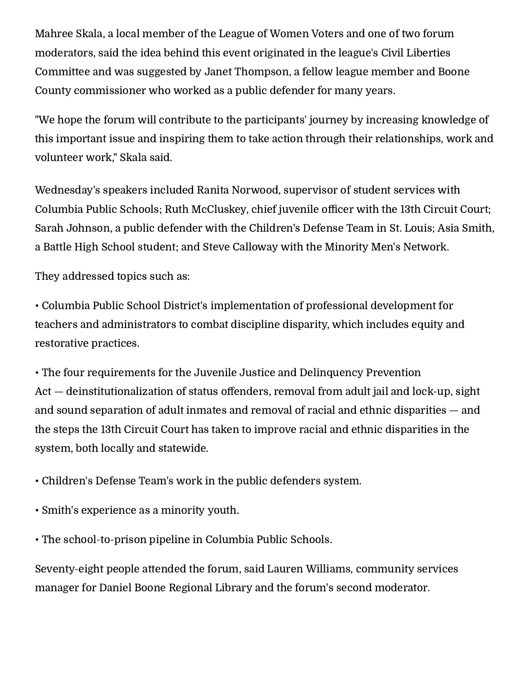Mahree Skala, a local member of the League of Women Voters and one of two forum moderators, said the idea behind this event originated in the league's Civil Liberties Committee and was suggested by Janet Thompson, a fellow league member and Boone County commissioner who worked as a public defender for many years.

"We hope the forum will contribute to the participants' journey by increasing knowledge of this important issue and inspiring them to take action through their relationships, work and volunteer work," Skala said.

Wednesday's speakers included Ranita Norwood, supervisor of student services with Columbia Public Schools; Ruth McCluskey, chief juvenile officer with the 13th Circuit Court; Sarah Johnson, a public defender with the Children's Defense Team in St. Louis; Asia Smith, a Battle High School student; and Steve Calloway with the Minority Men's Network.

They addressed topics such as:

• Columbia Public School District's implementation of professional development for teachers and administrators to combat discipline disparity, which includes equity and restorative practices.

• The four requirements for the Juvenile Justice and Delinquency Prevention Act — deinstitutionalization of status offenders, removal from adult jail and lock-up, sight and sound separation of adult inmates and removal of racial and ethnic disparities — and the steps the 13th Circuit Court has taken to improve racial and ethnic disparities in the system, both locally and statewide.

• Children's Defense Team's work in the public defenders system.

- Smith's experience as a minority youth.
- The school-to-prison pipeline in Columbia Public Schools.

Seventy-eight people attended the forum, said Lauren Williams, community services manager for Daniel Boone Regional Library and the forum's second moderator.